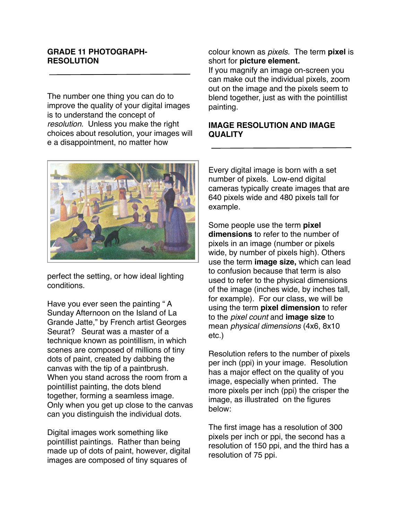## **GRADE 11 PHOTOGRAPH-RESOLUTION**

The number one thing you can do to improve the quality of your digital images is to understand the concept of *resolution.* Unless you make the right choices about resolution, your images will e a disappointment, no matter how



perfect the setting, or how ideal lighting conditions.

Have you ever seen the painting " A Sunday Afternoon on the Island of La Grande Jatte," by French artist Georges Seurat? Seurat was a master of a technique known as pointillism, in which scenes are composed of millions of tiny dots of paint, created by dabbing the canvas with the tip of a paintbrush. When you stand across the room from a pointillist painting, the dots blend together, forming a seamless image. Only when you get up close to the canvas can you distinguish the individual dots.

Digital images work something like pointillist paintings. Rather than being made up of dots of paint, however, digital images are composed of tiny squares of

colour known as *pixels*. The term **pixel** is short for **picture element.**

If you magnify an image on-screen you can make out the individual pixels, zoom out on the image and the pixels seem to blend together, just as with the pointillist painting.

## **IMAGE RESOLUTION AND IMAGE QUALITY**

Every digital image is born with a set number of pixels. Low-end digital cameras typically create images that are 640 pixels wide and 480 pixels tall for example.

Some people use the term **pixel dimensions** to refer to the number of pixels in an image (number or pixels wide, by number of pixels high). Others use the term **image size,** which can lead to confusion because that term is also used to refer to the physical dimensions of the image (inches wide, by inches tall, for example). For our class, we will be using the term **pixel dimension** to refer to the *pixel count* and **image size** to mean *physical dimensions* (4x6, 8x10 etc.)

Resolution refers to the number of pixels per inch (ppi) in your image. Resolution has a major effect on the quality of you image, especially when printed. The more pixels per inch (ppi) the crisper the image, as illustrated on the figures below:

The first image has a resolution of 300 pixels per inch or ppi, the second has a resolution of 150 ppi, and the third has a resolution of 75 ppi.